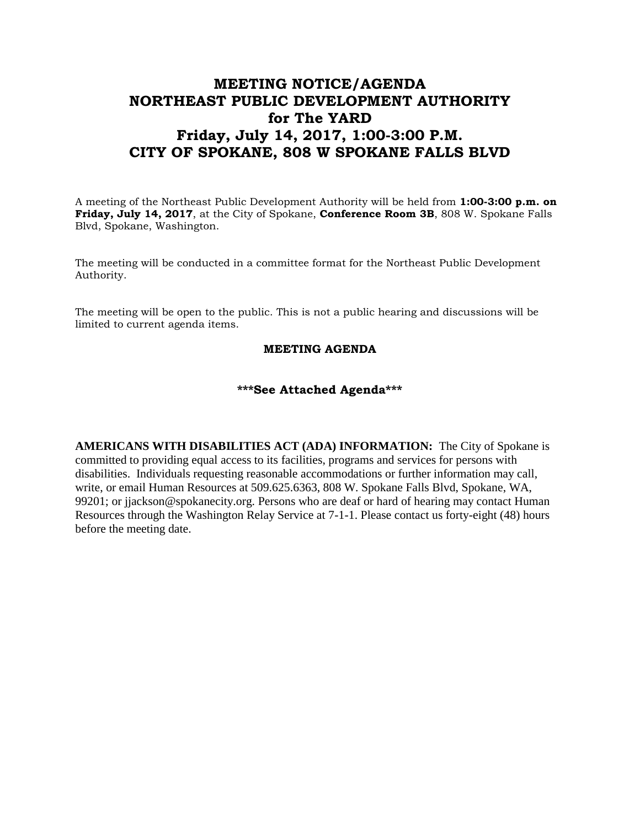## **MEETING NOTICE/AGENDA NORTHEAST PUBLIC DEVELOPMENT AUTHORITY for The YARD Friday, July 14, 2017, 1:00-3:00 P.M. CITY OF SPOKANE, 808 W SPOKANE FALLS BLVD**

A meeting of the Northeast Public Development Authority will be held from **1:00-3:00 p.m. on Friday, July 14, 2017**, at the City of Spokane, **Conference Room 3B**, 808 W. Spokane Falls Blvd, Spokane, Washington.

The meeting will be conducted in a committee format for the Northeast Public Development Authority.

The meeting will be open to the public. This is not a public hearing and discussions will be limited to current agenda items.

## **MEETING AGENDA**

## **\*\*\*See Attached Agenda\*\*\***

**AMERICANS WITH DISABILITIES ACT (ADA) INFORMATION:** The City of Spokane is committed to providing equal access to its facilities, programs and services for persons with disabilities. Individuals requesting reasonable accommodations or further information may call, write, or email Human Resources at 509.625.6363, 808 W. Spokane Falls Blvd, Spokane, WA, 99201; or jjackson@spokanecity.org. Persons who are deaf or hard of hearing may contact Human Resources through the Washington Relay Service at 7-1-1. Please contact us forty-eight (48) hours before the meeting date.